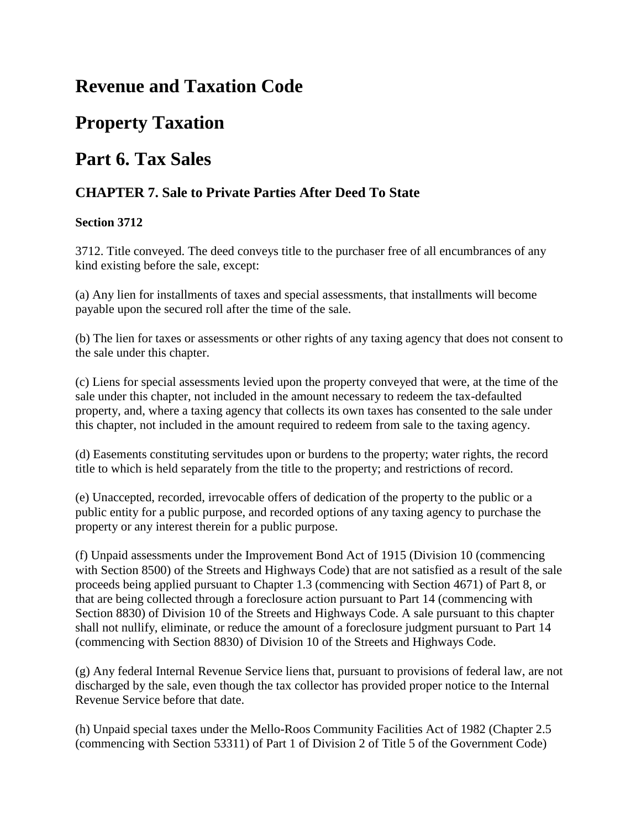# **Revenue and Taxation Code**

# **Property Taxation**

# **Part 6. Tax Sales**

### **CHAPTER 7. Sale to Private Parties After Deed To State**

#### **Section 3712**

3712. Title conveyed. The deed conveys title to the purchaser free of all encumbrances of any kind existing before the sale, except:

(a) Any lien for installments of taxes and special assessments, that installments will become payable upon the secured roll after the time of the sale.

(b) The lien for taxes or assessments or other rights of any taxing agency that does not consent to the sale under this chapter.

(c) Liens for special assessments levied upon the property conveyed that were, at the time of the sale under this chapter, not included in the amount necessary to redeem the tax-defaulted property, and, where a taxing agency that collects its own taxes has consented to the sale under this chapter, not included in the amount required to redeem from sale to the taxing agency.

(d) Easements constituting servitudes upon or burdens to the property; water rights, the record title to which is held separately from the title to the property; and restrictions of record.

(e) Unaccepted, recorded, irrevocable offers of dedication of the property to the public or a public entity for a public purpose, and recorded options of any taxing agency to purchase the property or any interest therein for a public purpose.

(f) Unpaid assessments under the Improvement Bond Act of 1915 (Division 10 (commencing with Section 8500) of the Streets and Highways Code) that are not satisfied as a result of the sale proceeds being applied pursuant to Chapter 1.3 (commencing with Section 4671) of Part 8, or that are being collected through a foreclosure action pursuant to Part 14 (commencing with Section 8830) of Division 10 of the Streets and Highways Code. A sale pursuant to this chapter shall not nullify, eliminate, or reduce the amount of a foreclosure judgment pursuant to Part 14 (commencing with Section 8830) of Division 10 of the Streets and Highways Code.

(g) Any federal Internal Revenue Service liens that, pursuant to provisions of federal law, are not discharged by the sale, even though the tax collector has provided proper notice to the Internal Revenue Service before that date.

(h) Unpaid special taxes under the Mello-Roos Community Facilities Act of 1982 (Chapter 2.5 (commencing with Section 53311) of Part 1 of Division 2 of Title 5 of the Government Code)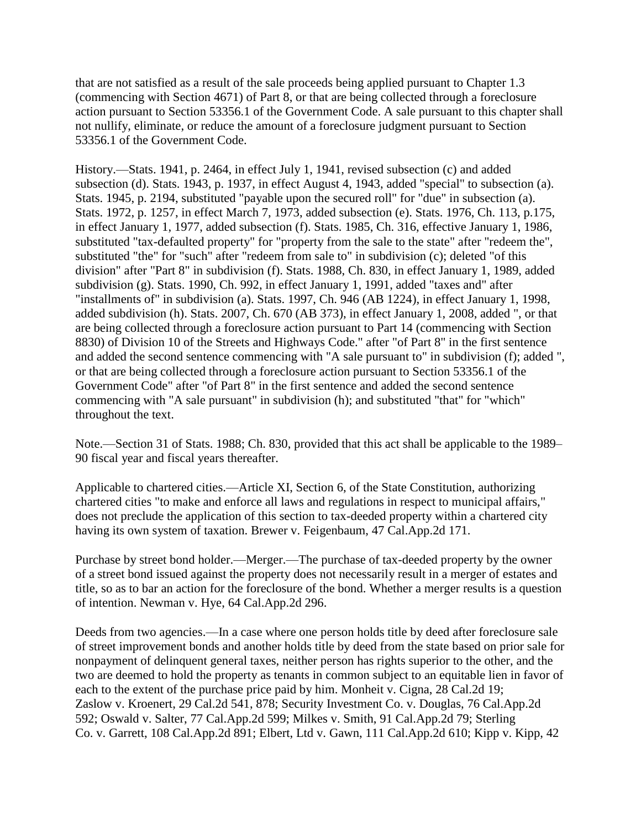that are not satisfied as a result of the sale proceeds being applied pursuant to Chapter 1.3 (commencing with Section 4671) of Part 8, or that are being collected through a foreclosure action pursuant to Section 53356.1 of the Government Code. A sale pursuant to this chapter shall not nullify, eliminate, or reduce the amount of a foreclosure judgment pursuant to Section 53356.1 of the Government Code.

History.—Stats. 1941, p. 2464, in effect July 1, 1941, revised subsection (c) and added subsection (d). Stats. 1943, p. 1937, in effect August 4, 1943, added "special" to subsection (a). Stats. 1945, p. 2194, substituted "payable upon the secured roll" for "due" in subsection (a). Stats. 1972, p. 1257, in effect March 7, 1973, added subsection (e). Stats. 1976, Ch. 113, p.175, in effect January 1, 1977, added subsection (f). Stats. 1985, Ch. 316, effective January 1, 1986, substituted "tax-defaulted property" for "property from the sale to the state" after "redeem the", substituted "the" for "such" after "redeem from sale to" in subdivision (c); deleted "of this division" after "Part 8" in subdivision (f). Stats. 1988, Ch. 830, in effect January 1, 1989, added subdivision (g). Stats. 1990, Ch. 992, in effect January 1, 1991, added "taxes and" after "installments of" in subdivision (a). Stats. 1997, Ch. 946 (AB 1224), in effect January 1, 1998, added subdivision (h). Stats. 2007, Ch. 670 (AB 373), in effect January 1, 2008, added ", or that are being collected through a foreclosure action pursuant to Part 14 (commencing with Section 8830) of Division 10 of the Streets and Highways Code." after "of Part 8" in the first sentence and added the second sentence commencing with "A sale pursuant to" in subdivision (f); added ", or that are being collected through a foreclosure action pursuant to Section 53356.1 of the Government Code" after "of Part 8" in the first sentence and added the second sentence commencing with "A sale pursuant" in subdivision (h); and substituted "that" for "which" throughout the text.

Note.—Section 31 of Stats. 1988; Ch. 830, provided that this act shall be applicable to the 1989– 90 fiscal year and fiscal years thereafter.

Applicable to chartered cities.—Article XI, Section 6, of the State Constitution, authorizing chartered cities "to make and enforce all laws and regulations in respect to municipal affairs," does not preclude the application of this section to tax-deeded property within a chartered city having its own system of taxation. Brewer v. Feigenbaum, 47 Cal.App.2d 171.

Purchase by street bond holder.—Merger.—The purchase of tax-deeded property by the owner of a street bond issued against the property does not necessarily result in a merger of estates and title, so as to bar an action for the foreclosure of the bond. Whether a merger results is a question of intention. Newman v. Hye, 64 Cal.App.2d 296.

Deeds from two agencies.—In a case where one person holds title by deed after foreclosure sale of street improvement bonds and another holds title by deed from the state based on prior sale for nonpayment of delinquent general taxes, neither person has rights superior to the other, and the two are deemed to hold the property as tenants in common subject to an equitable lien in favor of each to the extent of the purchase price paid by him. Monheit v. Cigna, 28 Cal.2d 19; Zaslow v. Kroenert, 29 Cal.2d 541, 878; Security Investment Co. v. Douglas, 76 Cal.App.2d 592; Oswald v. Salter, 77 Cal.App.2d 599; Milkes v. Smith, 91 Cal.App.2d 79; Sterling Co. v. Garrett, 108 Cal.App.2d 891; Elbert, Ltd v. Gawn, 111 Cal.App.2d 610; Kipp v. Kipp, 42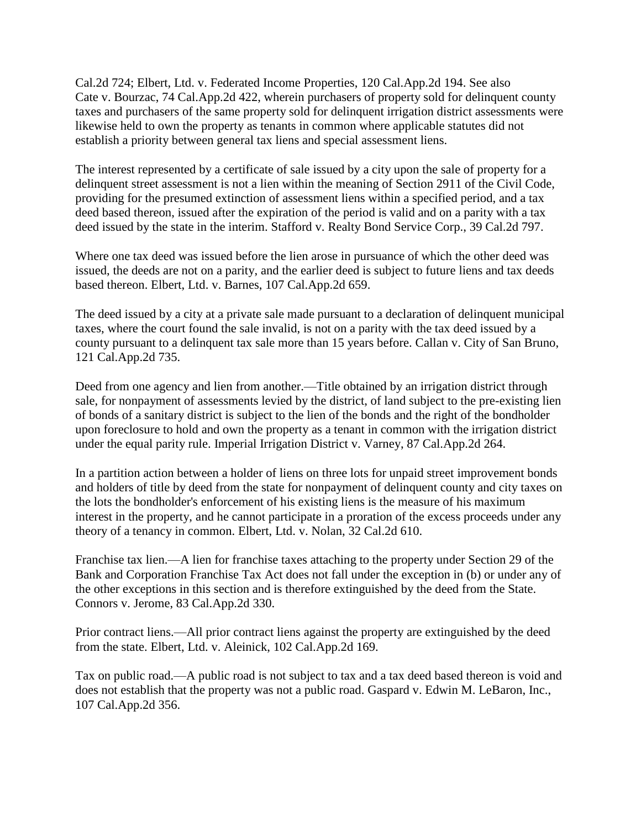Cal.2d 724; Elbert, Ltd. v. Federated Income Properties, 120 Cal.App.2d 194. See also Cate v. Bourzac, 74 Cal.App.2d 422, wherein purchasers of property sold for delinquent county taxes and purchasers of the same property sold for delinquent irrigation district assessments were likewise held to own the property as tenants in common where applicable statutes did not establish a priority between general tax liens and special assessment liens.

The interest represented by a certificate of sale issued by a city upon the sale of property for a delinquent street assessment is not a lien within the meaning of Section 2911 of the Civil Code, providing for the presumed extinction of assessment liens within a specified period, and a tax deed based thereon, issued after the expiration of the period is valid and on a parity with a tax deed issued by the state in the interim. Stafford v. Realty Bond Service Corp., 39 Cal.2d 797.

Where one tax deed was issued before the lien arose in pursuance of which the other deed was issued, the deeds are not on a parity, and the earlier deed is subject to future liens and tax deeds based thereon. Elbert, Ltd. v. Barnes, 107 Cal.App.2d 659.

The deed issued by a city at a private sale made pursuant to a declaration of delinquent municipal taxes, where the court found the sale invalid, is not on a parity with the tax deed issued by a county pursuant to a delinquent tax sale more than 15 years before. Callan v. City of San Bruno, 121 Cal.App.2d 735.

Deed from one agency and lien from another.—Title obtained by an irrigation district through sale, for nonpayment of assessments levied by the district, of land subject to the pre-existing lien of bonds of a sanitary district is subject to the lien of the bonds and the right of the bondholder upon foreclosure to hold and own the property as a tenant in common with the irrigation district under the equal parity rule. Imperial Irrigation District v. Varney, 87 Cal.App.2d 264.

In a partition action between a holder of liens on three lots for unpaid street improvement bonds and holders of title by deed from the state for nonpayment of delinquent county and city taxes on the lots the bondholder's enforcement of his existing liens is the measure of his maximum interest in the property, and he cannot participate in a proration of the excess proceeds under any theory of a tenancy in common. Elbert, Ltd. v. Nolan, 32 Cal.2d 610.

Franchise tax lien.—A lien for franchise taxes attaching to the property under Section 29 of the Bank and Corporation Franchise Tax Act does not fall under the exception in (b) or under any of the other exceptions in this section and is therefore extinguished by the deed from the State. Connors v. Jerome, 83 Cal.App.2d 330.

Prior contract liens.—All prior contract liens against the property are extinguished by the deed from the state. Elbert, Ltd. v. Aleinick, 102 Cal.App.2d 169.

Tax on public road.—A public road is not subject to tax and a tax deed based thereon is void and does not establish that the property was not a public road. Gaspard v. Edwin M. LeBaron, Inc., 107 Cal.App.2d 356.